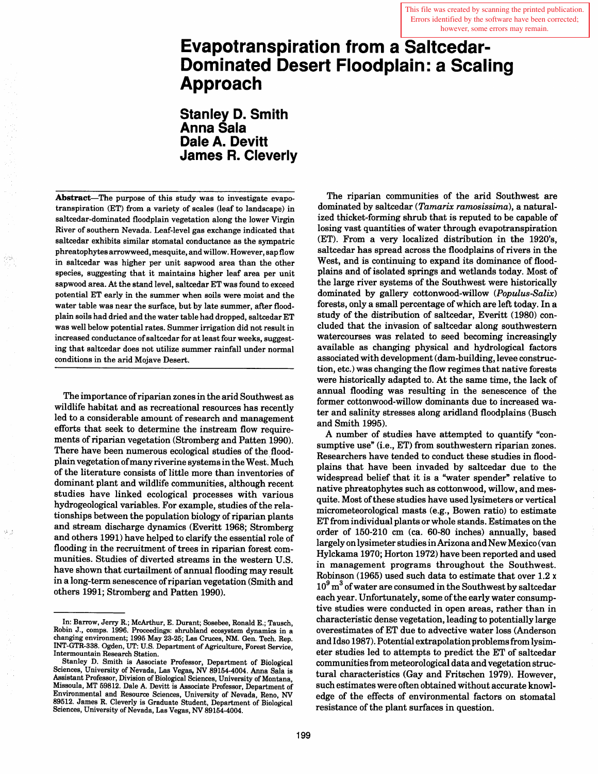This file was created by scanning the printed publication. Errors identified by the software have been corrected; however, some errors may remain.

# **Evapotranspiration from a Saltcedar-Dominated Desert Floodplain: a Scaling Approach**

**Stanley D. Smith Anna Sala Dale A. Devitt James R. Cleverly** 

Abstract-The purpose of this study was to investigate evapotranspiration (ET) from a variety of scales (leaf to landscape) in saltcedar-dominated floodplain vegetation along the lower Virgin River of southern Nevada. Leaf-level gas exchange indicated that saltcedar exhibits similar stomatal conductance as the sympatric phreatophytes arrowweed, mesquite, and willow. However, sap flow in saltcedar was higher per unit sapwood area than the other species, suggesting that it maintains higher leaf area per unit sapwood area. At the stand level, saltcedar ET was found to exceed potential ET early in the summer when soils were moist and the water table was near the surface, but by late summer, after floodplain soils had dried and the water table had dropped, saltcedar ET was well below potential rates. Summer irrigation did not result in increased conductance of saltcedar for at least four weeks, suggesting that saltcedar does not utilize summer rainfall under normal conditions in the arid Mojave Desert.

The importance of riparian zones in the arid Southwest as wildlife habitat and as recreational resources has recently led to a considerable amount of research and management efforts that seek to determine the instream flow requirements of riparian vegetation (Stromberg and Patten 1990). There have been numerous ecological studies of the floodplain vegetation of many riverine systems in the West. Much of the literature consists of little more than inventories of dominant plant and wildlife communities, although recent studies have linked ecological processes with various hydrogeological variables. For example, studies of the relationships between the population biology of riparian plants and stream discharge dynamics (Everitt 1968; Stromberg and others 1991) have helped to clarify the essential role of flooding in the recruitment of trees in riparian forest communities. Studies of diverted streams in the western U.S. have shown that curtailment of annual flooding may result in a long-term senescence of riparian vegetation (Smith and others 1991; Stromberg and Patten 1990).

The riparian communities of the arid Southwest are dominated by saltcedar *(Tamarix ramosissima),* a naturalized thicket-forming shrub that is reputed to be capable of losing vast quantities of water through evapotranspiration (ET). From a very localized distribution in the 1920's, saltcedar has spread across the floodplains of rivers in the West, and is continuing to expand its dominance of floodplains and of isolated springs and wetlands today. Most of the large river systems of the Southwest were historically dominated by gallery cottonwood-willow *(Populus-Salix)*  forests, only a small percentage of which are left today. In a study of the distribution of saltcedar, Everitt (1980) concluded that the invasion of saltcedar along southwestern watercourses was related to seed becoming increasingly available as changing physical and hydrological factors associated with development (dam-building, levee construction, etc.) was changing the flow regimes that native forests were historically adapted to. At the same time, the lack of annual flooding was resulting in the senescence of the former cottonwood-willow dominants due to increased water and salinity stresses along aridland floodplains (Busch and Smith 1995).

A number of studies have attempted to quantify "consumptive use" (i.e., ET) from southwestern riparian zones. Researchers have tended to conduct these studies in floodplains that have been invaded by saltcedar due to the widespread belief that it is a "water spender" relative to native phreatophytes such as cottonwood, willow, and mesquite. Most of these studies have used lysimeters or vertical micrometeorological masts (e.g., Bowen ratio) to estimate ET from individual plants or whole stands. Estimates on the order of 150-210 cm (ca. 60-80 inches) annually, based largely on lysimeter studies in Arizona and New Mexico (van Hylckama 1970; Horton 1972) have been reported and used in management programs throughout the Southwest. Robinson (1965) used such data to estimate that over 1.2 x  $10<sup>9</sup>$  m<sup>3</sup> of water are consumed in the Southwest by saltcedar each year. Unfortunately, some of the early water consumptive studies were conducted in open areas, rather than in characteristic dense vegetation, leading to potentially large overestimates of ET due to advective water loss (Anderson and Idso 1987). Potential extrapolation problems from lysimeter studies led to attempts to predict the ET of saltcedar communities from meteorological data and vegetation structural characteristics (Gay and Fritschen 1979). However, such estimates were often obtained without accurate knowledge of the effects of environmental factors on stomatal resistance of the plant surfaces in question.

In: Barrow, Jerry R.; McArthur, E. Durant; Sosebee, Ronald E.; Tausch, Robm J., comps. 1996. Proceedings: shrubland ecosystem dynamics in a changing environment; 1995 May 23-25; Las Cruces, NM. Gen. Tech. Rep. INT-GTR-338. Ogden, UT: U.S. Department of Agriculture, Forest Service, Intermountain Research Station.

Stanley D. Smith is Associate Professor, Department of Biological Sciences, University of Nevada, Las Vegas, NV 89154-4004. Anna Sala is Assistant Professor, Division of Biological Sciences, University of Montana, Missoula, MT 59812. Dale A. Devitt is Associate Professor, Department of Environmental and Resource Sciences, University of Nevada, Reno, NV 89512. James R. Cleverly is Graduate Student, Department of Biological Sciences, University of Nevada, Las Vegas, NV 89154-4004.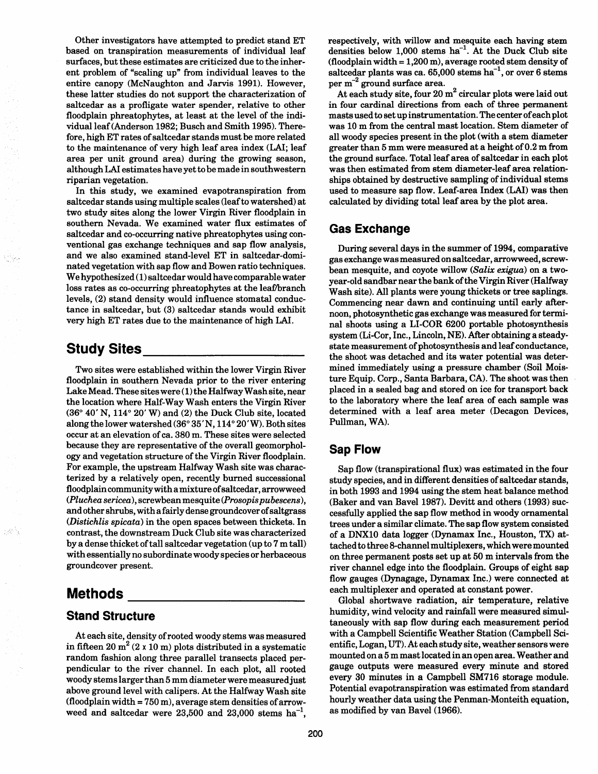Other investigators have attempted to predict stand ET based on transpiration measurements of individual leaf surfaces, but these estimates are criticized due to the inherent problem of "scaling up" from individual leaves to the entire canopy (McNaughton and Jarvis 1991). However, these latter studies do not support the characterization of saltcedar as a profligate water spender, relative to other floodplain phreatophytes, at least at the level of the individual leaf (Anderson 1982; Busch and Smith 1995). Therefore, high ET rates of saltcedar stands must be more related to the maintenance of very high leaf area index (LAI; leaf area per unit ground area) during the growing season, although LAI estimates have yet to be made in southwestern riparian vegetation.

In this study, we examined evapotranspiration from saltcedar stands using multiple scales (leaf to watershed) at two study sites along the lower Virgin River floodplain in southern Nevada. We examined water flux estimates of saltcedar and co-occurring native phreatophytes using conventional gas exchange techniques and sap flow analysis, and we also examined stand-level ET in saltcedar-dominated vegetation with sap flow and Bowen ratio techniques. We hypothesized (1) saltcedar would have comparable water loss rates as co-occurring phreatophytes at the leaf/branch levels, (2) stand density would influence stomatal conductance in saltcedar, but (3) saltcedar stands would exhibit very high ET rates due to the maintenance of high LAI.

## **Study** Sites \_\_\_\_\_\_\_\_ \_

Two sites were established within the lower Virgin River floodplain in southern Nevada prior to the river entering Lake Mead. These sites were (1) the Halfway Wash site, near the location where Half-Way Wash enters the Virgin River  $(36° 40' N, 114° 20' W)$  and  $(2)$  the Duck Club site, located along the lower watershed (36° 35' N, 114° 20' W). Both sites occur at an elevation of ca. 380 m. These sites were selected because they are representative of the overall geomorphology and vegetation structure of the Virgin River floodplain. For example, the upstream Halfway Wash site was characterized by a relatively open, recently burned successional floodplain community with a mixture of saltcedar, arrowweed *(Pluchea sericea),* screwbean mesquite *(Prosopis pubescens),*  and other shrubs, with a fairly dense groundcover of saltgrass *(Distichlis spicata)* in the open spaces between thickets. In contrast, the downstream Duck Club site was characterized by a dense thicket of tall saltcedar vegetation (up to 7 m tall) with essentially no subordinate woody species or herbaceous groundcover present.

# **Methods**

#### **Stand Structure**

At each site, density of rooted woody stems was measured in fifteen 20  $m^2$  (2 x 10 m) plots distributed in a systematic random fashion along three parallel transects placed perpendicular to the river channel. In each plot, all rooted woody stems larger than 5 mm diameter were measuredjust above ground level with calipers. At the Halfway Wash site  $($ floodplain width = 750 m $)$ , average stem densities of arrowweed and saltcedar were  $23,500$  and  $23,000$  stems  $ha^{-1}$ ,

respectively, with willow and mesquite each having stem densities below  $1,000$  stems ha<sup>-1</sup>. At the Duck Club site (floodplain width  $= 1,200$  m), average rooted stem density of saltcedar plants was ca.  $65,000$  stems ha<sup>-1</sup>, or over 6 stems per  $m^{-2}$  ground surface area.

At each study site, four  $20 \text{ m}^2$  circular plots were laid out in four cardinal directions from each of three permanent masts used to set up instrumentation. The center of each plot was 10 m from the central mast location. Stem diameter of all woody species present in the plot (with a stem diameter greater than 5 mm were measured at a height of 0.2 m from the ground surface. Total leaf area of saltcedar in each plot was then estimated from stem diameter-leaf area relationships obtained by destructive sampling of individual stems used to measure sap flow. Leaf-area Index (LAI) was then calculated by dividing total leaf area by the plot area.

### **Gas Exchange**

During several days in the summer of 1994, comparative gas exchange was measured on saltcedar, arrowweed, screwbean mesquite, and coyote willow *(Salix exigua)* on a twoyear-old sandbar near the bank of the Virgin River (Halfway Wash site). All plants were young thickets or tree saplings. Commencing near dawn and continuing until early afternoon, photosynthetic gas exchange was measured for terminal shoots using aLI-COR 6200 portable photosynthesis system (Li-Cor, Inc., Lincoln, NE). After obtaining a steadystate measurement of photosynthesis and leaf conductance, the shoot was detached and its water potential was determined immediately using a pressure chamber (Soil Moisture Equip. Corp., Santa Barbara, CA). The shoot was then placed in a sealed bag and stored on ice for transport back to the laboratory where the leaf area of each sample was determined with a leaf area meter (Decagon Devices, Pullman, WA).

### **Sap Flow**

Sap flow (transpirational flux) was estimated in the four study species, and in different densities of saltcedar stands, in both 1993 and 1994 using the stem heat balance method (Baker and van Bavel 1987). Devitt and others (1993) successfully applied the sap flow method in woody ornamental trees under a similar climate. The sap flow system consisted of a DNX10 data logger (Dynamax Inc., Houston, TX) attached to three 8-channel multiplexers, which were mounted on three permanent posts set up at 50 m intervals from the river channel edge into the floodplain. Groups of eight sap flow gauges (Dynagage, Dynamax Inc.) were connected at each multiplexer and operated at constant power.

Global shortwave radiation, air temperature, relative humidity, wind velocity and rainfall were measured simultaneously with sap flow during each measurement period with a Campbell Scientific Weather Station (Campbell Scientific, Logan, UT). At each study site, weather sensors were mounted on a 5 m mast located in an open area. Weather and gauge outputs were measured every minute and stored every 30 minutes in a Campbell SM716 storage module. Potential evapotranspiration was estimated from standard hourly weather data using the Penman-Monteith equation, as modified by van Bavel (1966).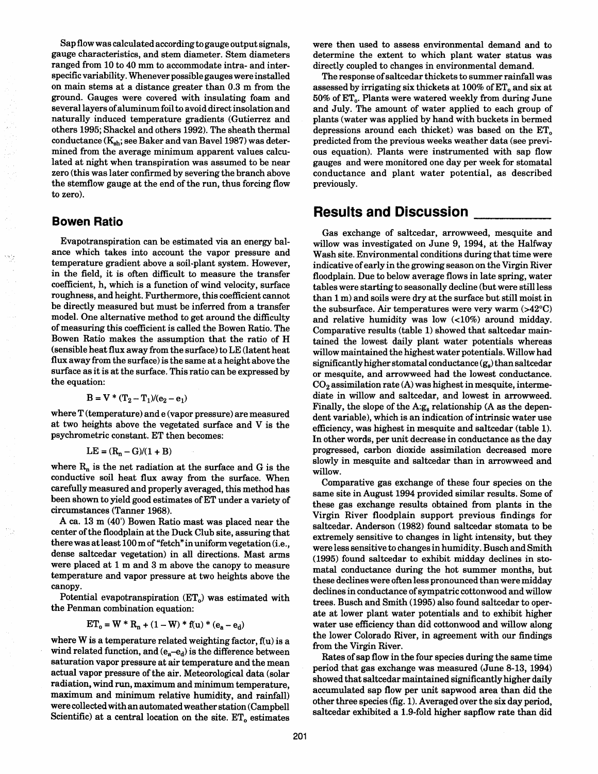Sap flow was calculated according to gauge output signals, gauge characteristics, and stem diameter. Stem diameters ranged from 10 to 40 mm to accommodate intra- and interspecific variability. Whenever possible gauges were installed on main stems at a distance greater than 0.3 m from the ground. Gauges were covered with insulating foam and several layers of aluminum foil to avoid direct insolation and naturally induced temperature gradients (Gutierrez and others 1995; Shackel and others 1992). The sheath thermal conductance  $(K_{sh};$  see Baker and van Bavel 1987) was determined from the average minimum apparent values calculated at night when transpiration was assumed to be near zero (this was later confirmed by severing the branch above the stemflow gauge at the end of the run, thus forcing flow to zero).

#### **Bowen Ratio**

Evapotranspiration can be estimated via an energy balance which takes into account the vapor pressure and temperature gradient above a soil-plant system. However, in the field, it is often difficult to measure the transfer coefficient, h, which is a function of wind velocity, surface roughness, and height. Furthermore, this coefficient cannot be directly measured but must be inferred from a transfer model. One alternative method to get around the difficulty of measuring this coefficient is called the Bowen Ratio. The Bowen Ratio makes the assumption that the ratio of H (sensible heat flux away from the surface) to LE (latent heat flux away from the surface) is the same at a height above the surface as it is at the surface. This ratio can be expressed by the equation:

$$
B = V * (T_2 - T_1)/(e_2 - e_1)
$$

where T (temperature) and e (vapor pressure) are measured at two heights above the vegetated surface and V is the psychrometric constant. ET then becomes:

$$
LE = (R_n - G)/(1 + B)
$$

where  $R_n$  is the net radiation at the surface and G is the conductive soil heat flux away from the surface. When carefully measured and properly averaged, this method has been shown to yield good estimates of ET under a variety of circumstances (Tanner 1968).

A ca. 13 m (40') Bowen Ratio mast was placed near the center of the floodplain at the Duck Club site, assuring that there was at least 100 m of "fetch" in uniform vegetation (i.e., dense saltcedar vegetation) in all directions. Mast arms were placed at 1 m and 3 m above the canopy to measure temperature and vapor pressure at two heights above the canopy.

Potential evapotranspiration  $(ET_0)$  was estimated with the Penman combination equation:

$$
ET_o = W * R_n + (1 - W) * f(u) * (e_a - e_d)
$$

where  $W$  is a temperature related weighting factor,  $f(u)$  is a wind related function, and  $(e_a-e_d)$  is the difference between saturation vapor pressure at air temperature and the mean actual vapor pressure of the air. Meteorological data (solar radiation, wind run, maximum and minimum temperature, maximum and minimum relative humidity, and rainfall) were collected with an automated weather station (Campbell Scientific) at a central location on the site.  $ET_0$  estimates

were then used to assess environmental demand and to determine the extent to which plant water status was directly coupled to changes in environmental demand.

The response of saltcedar thickets to summer rainfall was assessed by irrigating six thickets at  $100\%$  of  $ET<sub>o</sub>$  and six at 50% of ET<sub>0</sub>. Plants were watered weekly from during June and July. The amount of water applied to each group of plants (water was applied by hand with buckets in bermed depressions around each thicket) was based on the  $ET<sub>o</sub>$ predicted from the previous weeks weather data (see previous equation). Plants were instrumented with sap flow gauges and were monitored one day per week for stomatal conductance and plant water potential, as described previously.

# **Results and Discussion**

Gas exchange of saltcedar, arrowweed, mesquite and willow was investigated on June 9, 1994, at the Halfway Wash site. Environmental conditions during that time were indicative of early in the growing season on the Virgin River floodplain. Due to below average flows in late spring, water tables were starting to seasonally decline (but were still less than 1 m) and soils were dry at the surface but still moist in the subsurface. Air temperatures were very warm  $(>42^{\circ}C)$ and relative humidity was low  $\langle$  ( $10\%$ ) around midday. Comparative results (table 1) showed that saltcedar maintained the lowest daily plant water potentials whereas willow maintained the highest water potentials. Willow had significantly higher stomatal conductance  $(g_s)$  than saltcedar or mesquite, and arrowweed had the lowest conductance.  $CO<sub>2</sub>$  assimilation rate (A) was highest in mesquite, intermediate in willow and saltcedar, and lowest in arrowweed. Finally, the slope of the  $A:g_8$  relationship (A as the dependent variable), which is an indication of intrinsic water use efficiency, was highest in mesquite and saltcedar (table 1). In other words, per unit decrease in conductance as the day progressed, carbon dioxide assimilation decreased more slowly in mesquite and saltcedar than in arrowweed and willow.

Comparative gas exchange of these four species on the same site in August 1994 provided similar results. Some of these gas exchange results obtained from plants in the Virgin River floodplain support previous findings for saltcedar. Anderson (1982) found saltcedar stomata to be extremely sensitive to changes in light intensity, but they were less sensitive to changes in humidity. Busch and Smith (1995) found saltcedar to exhibit midday declines in stomatal conductance during the hot summer months, but these declines were often less pronounced than were midday declines in conductance of sympatric cottonwood and willow trees. Busch and Smith (1995) also found saltcedar to operate at lower plant water potentials and to exhibit higher water use efficiency than did cottonwood and willow along the lower Colorado River, in agreement with our findings from the Virgin River.

Rates of sap flow in the four species during the same time period that gas exchange was measured (June 8-13, 1994) showed that saltcedar maintained significantly higher daily accumulated sap flow per unit sapwood area than did the other three species (fig. 1). Averaged over the six day period, saltcedar exhibited a 1.9-fold higher sapflow rate than did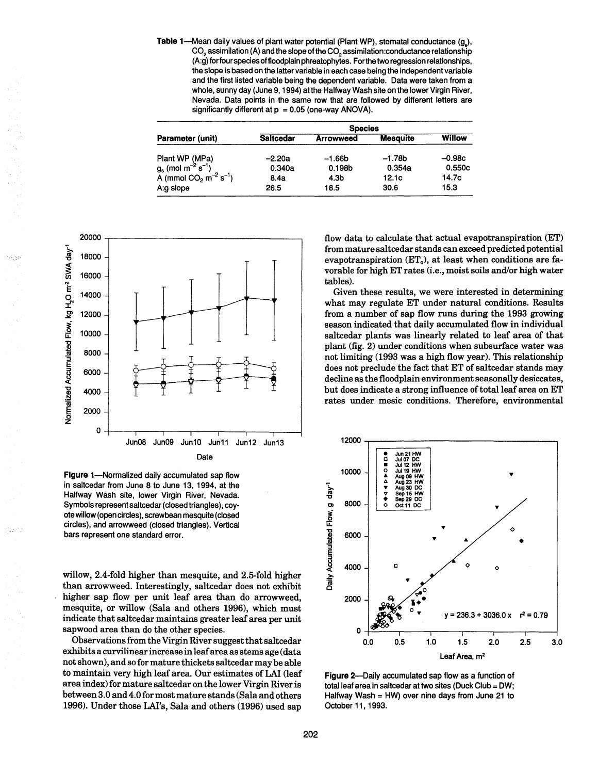Table 1--Mean daily values of plant water potential (Plant WP), stomatal conductance  $(g<sub>2</sub>)$ , CO<sub>2</sub> assimilation (A) and the slope of the CO<sub>2</sub> assimilation:conductance relationship (A:g) for four species of floodplain phreatophytes. Forthe two regression relationships, the slope is based on the latter variable in each case being the independent variable and the first listed variable being the dependent variable. Data were taken from a whole, sunny day (June 9, 1994) at the Halfway Wash site on the lower Virgin River, Nevada. Data points in the same row that are followed by different letters are significantly different at  $p = 0.05$  (one-way ANOVA).

| Parameter (unit)                                                                                                                     | <b>Species</b>   |                  |                 |               |  |
|--------------------------------------------------------------------------------------------------------------------------------------|------------------|------------------|-----------------|---------------|--|
|                                                                                                                                      | <b>Saltcedar</b> | <b>Arrowweed</b> | <b>Mesquite</b> | <b>Willow</b> |  |
|                                                                                                                                      | $-2.20a$         | $-1.66b$         | $-1.78b$        | $-0.98c$      |  |
| Plant WP (MPa)<br>g <sub>s</sub> (mol m <sup>-2</sup> s <sup>-1</sup> )<br>A (mmol CO <sub>2</sub> m <sup>-2</sup> s <sup>-1</sup> ) | 0.340a           | 0.198b           | 0.354a          | 0.550c        |  |
|                                                                                                                                      | 8.4a             | 4.3b             | 12.1c           | 14.7c         |  |
| A:g slope                                                                                                                            | 26.5             | 18.5             | 30.6            | 15.3          |  |



Figure 1-Normalized daily accumulated sap flow in saltcedar from June 8 to June 13, 1994, at the Halfway Wash site, lower Virgin River, Nevada. Symbols represent saltcedar (closed triangles), coyote willow (open circles), screwbean mesquite (closed circles), and arrowweed (closed triangles). Vertical bars represent one standard error.

willow, 2.4-fold higher than mesquite, and 2.5-fold higher than arrowweed. Interestingly, saltcedar does not exhibit higher sap flow per unit leaf area than do arrowweed, mesquite, or willow (Sala and others 1996), which must indicate that saltcedar maintains greater leaf area per unit sapwood area than do the other species.

Observations from the Virgin River suggest that saltcedar exhibits a curvilinear increase in leaf area as stems age (data not shown), and so for mature thickets saltcedar may be able to maintain very high leaf area. Our estimates of LAI (leaf area index) for mature saltcedar on the lower Virgin River is between 3.0 and 4.0 for most mature stands (Sala and others 1996). Under those LAI's, Sala and others (1996) used sap

flow data to calculate that actual evapotranspiration (ET) from mature saltcedar stands can exceed predicted potential evapotranspiration  $(ET_0)$ , at least when conditions are favorable for high ET rates (i.e., moist soils and/or high water tables).

Given these results, we were interested in determining what may regulate ET under natural conditions. Results from a number of sap flow runs during the 1993 growing season indicated that daily accumulated flow in individual saltcedar plants was linearly related to leaf area of that plant (fig. 2) under conditions when subsurface water was not limiting (1993 was a high flow year). This relationship does not preclude the fact that ET of saltcedar stands may decline as the floodplain environment seasonally desiccates, but does indicate a strong influence of total leaf area on ET rates under mesic conditions. Therefore, environmental



Figure 2-Daily accumulated sap flow as a function of total leaf area in saltcedar at two sites (Duck Club = OW; Halfway Wash = HW) over nine days from June 21 to October 11, 1993.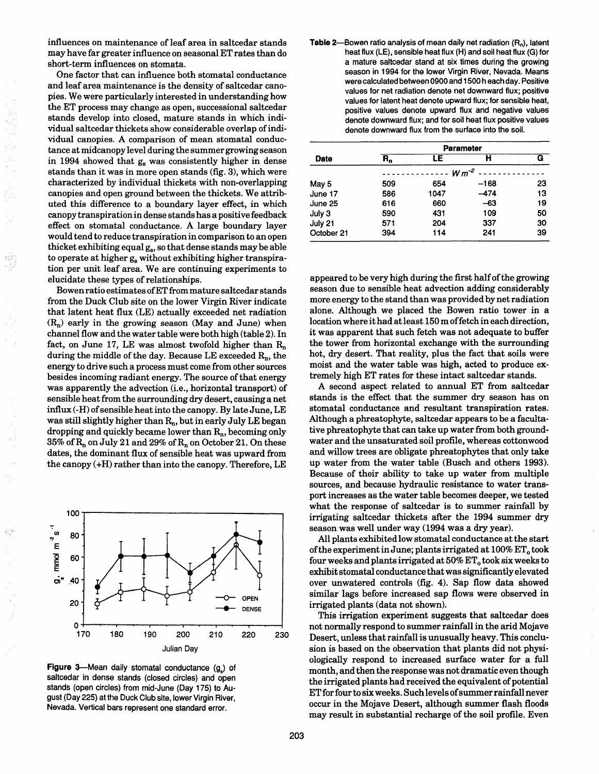influences on maintenance of leaf area in saltcedar stands may have far greater influence on seasonal ET rates than do short-term influences on stomata.

One factor that can influence both stomatal conductance and leaf area maintenance is the density of saltcedar canopies. We were particularly interested in understanding how the ET process may change as open, successional saltcedar stands develop into closed, mature stands in which individual saltcedar thickets show considerable overlap of individual canopies. A comparison of mean stomatal conductance at midcanopy level during the summer growing season in 1994 showed that gs was consistently higher in dense stands than it was in more open stands (fig. 3), which were characterized by individual thickets with non-overlapping canopies and open ground between the thickets. We attributed this difference to a boundary layer effect, in which canopy transpiration in dense stands has a positive feedback effect on stomatal conductance. A large boundary layer would tend to reduce transpiration in comparison to an open thicket exhibiting equal  $g_s$ , so that dense stands may be able to operate at higher  $g_s$  without exhibiting higher transpiration per unit leaf area. We are continuing experiments to elucidate these types of relationships.

Bowen ratio estimates ofET from mature saltcedar stands from the Duck Club site on the lower Virgin River indicate that latent heat flux (LE) actually exceeded net radiation  $(R_n)$  early in the growing season (May and June) when channel flow and the water table were both high (table 2). In fact, on June 17, LE was almost twofold higher than  $R_n$ during the middle of the day. Because LE exceeded  $R_n$ , the energy to drive such a process must come from other sources besides incoming radiant energy. The source of that energy was apparently the advection (i.e., horizontal transport) of sensible heat from the surrounding dry desert, causing a net influx (-H) of sensible heat into the canopy. By late June, LE was still slightly higher than  $R_n$ , but in early July LE began dropping and quickly became lower than  $R_n$ , becoming only 35% of  $R_n$  on July 21 and 29% of  $R_n$  on October 21. On these dates, the dominant flux of sensible heat was upward from the canopy (+H) rather than into the canopy. Therefore, LE



Figure 3-Mean daily stomatal conductance  $(q_1)$  of saltcedar in dense stands (closed circles) and open stands (open circles) from mid-June (Day 175) to August (Day 225) at the Duck Club site, lower Virgin River, Nevada. Vertical bars represent one standard error.

Table 2--Bowen ratio analysis of mean daily net radiation  $(R_n)$ , latent heat flux (LE), sensible heat flux (H) and soil heat flux (G) for a mature saltcedar stand at six times during the growing season in 1994 for the lower Virgin River, Nevada. Means were calculated between 0900 and 1500 h each day. Positive values for net radiation denote net downward flux; positive values for latent heat denote upward flux; for sensible heat, positive values denote upward flux and negative values denote downward flux; and for soil heat flux positive values denote downward flux from the surface into the soil.

| Date       | <b>Parameter</b> |      |        |    |  |  |
|------------|------------------|------|--------|----|--|--|
|            | R,               | LE   | н      | G  |  |  |
|            | $W m^{-2}$       |      |        |    |  |  |
| May 5      | 509              | 654  | $-168$ | 23 |  |  |
| June 17    | 586              | 1047 | $-474$ | 13 |  |  |
| June 25    | 616              | 660  | $-63$  | 19 |  |  |
| July 3     | 590              | 431  | 109    | 50 |  |  |
| July 21    | 571              | 204  | 337    | 30 |  |  |
| October 21 | 394              | 114  | 241    | 39 |  |  |

appeared to be very high during the first half of the growing season due to sensible heat advection adding considerably more energy to the stand than was provided by net radiation alone. Although we placed the Bowen ratio tower in a location where it had at least 150 m offetch in each direction, it was apparent that such fetch was not adequate to buffer the tower from horizontal exchange with the surrounding hot, dry desert. That reality, plus the fact that soils were moist and the water table was high, acted to produce extremely high ET rates for these intact saltcedar stands.

A second aspect related to annual ET from saltcedar stands is the effect that the summer dry season has on stomatal conductance and resultant transpiration rates. Although a phreatophyte, saltcedar appears to be a facultative phreatophyte that can take up water from both groundwater and the unsaturated soil profile, whereas cottonwood and willow trees are obligate phreatophytes that only take up water from the water table (Busch and others 1993). Because of their ability to take up water from multiple sources, and because hydraulic resistance to water transport increases as the water table becomes deeper, we tested what the response of saltcedar is to summer rainfall by irrigating saltcedar thickets after the 1994 summer dry season was well under way (1994 was a dry year).

All plants exhibited low stomatal conductance at the start of the experiment in June; plants irrigated at  $100\%$   $ET_0$  took four weeks and plants irrigated at  $50\%$   $ET_0$  took six weeks to exhibit stomatal conductance that was significantly elevated over unwatered controls (fig. 4). Sap flow data showed similar lags before increased sap flows were observed in irrigated plants (data not shown).

This irrigation experiment suggests that saltcedar does not normally respond to summer rainfall in the arid Mojave Desert, unless that rainfall is unusually heavy. This conclusion is based on the observation that plants did not physiologically respond to increased surface water for a full month, and then the response was not dramatic even though the irrigated plants had received the equivalent of potential ET for four to six weeks. Such levels of summer rainfall never occur in the Mojave Desert, although summer flash floods may result in substantial recharge of the soil profile. Even